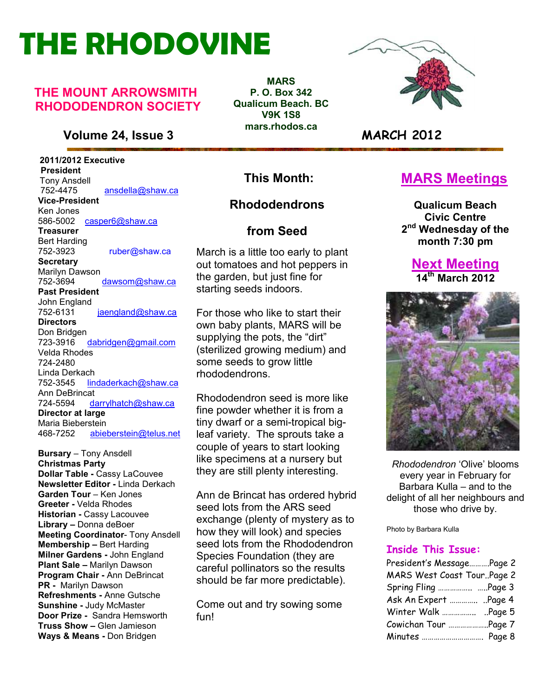# **THE RHODOVINE**

#### **THE MOUNT ARROWSMITH RHODODENDRON SOCIETY**

#### **Volume 24, Issue 3 MARCH 2012**

 **2011/2012 Executive President**  Tony Ansdell<br>752-4475 752-4475 ansdella@shaw.ca **Vice-President**  Ken Jones 586-5002casper6@shaw.ca **Treasurer**  Bert Harding<br>752-3923 ruber@shaw.ca **Secretary** Marilyn Dawson 752-3694 dawsom@shaw.ca **Past President**  John England<br>752-6131 jaengland@shaw.ca **Directors**  Don Bridgen 723-3916 dabridgen@gmail.com Velda Rhodes 724-2480 Linda Derkach 752-3545 lindaderkach@shaw.ca Ann DeBrincat 724-5594 darrylhatch@shaw.ca **Director at large**  Maria Bieberstein 468-7252 abieberstein@telus.net

**Refreshments - Anne Gutsche<br>Sunshine - Judy McMaster Come out and try sowing some Bursary** – Tony Ansdell **Christmas Party Dollar Table -** Cassy LaCouvee **Newsletter Editor -** Linda Derkach **Garden Tour** – Ken Jones **Greeter -** Velda Rhodes **Historian -** Cassy Lacouvee **Library –** Donna deBoer **Meeting Coordinator**- Tony Ansdell **Membership –** Bert Harding **Milner Gardens -** John England **Plant Sale –** Marilyn Dawson **Program Chair -** Ann DeBrincat **PR -** Marilyn Dawson **Refreshments -** Anne Gutsche **Sunshine -** Judy McMaster **Door Prize -** Sandra Hemsworth **Truss Show –** Glen Jamieson **Ways & Means -** Don Bridgen

**MARS P. O. Box 342 Qualicum Beach. BC V9K 1S8 mars.rhodos.ca** 



#### **This Month:**

#### **Rhododendrons**

#### **from Seed**

March is a little too early to plant out tomatoes and hot peppers in the garden, but just fine for starting seeds indoors.

For those who like to start their own baby plants, MARS will be supplying the pots, the "dirt" (sterilized growing medium) and some seeds to grow little rhododendrons.

Rhododendron seed is more like fine powder whether it is from a tiny dwarf or a semi-tropical bigleaf variety. The sprouts take a couple of years to start looking like specimens at a nursery but they are still plenty interesting.

Ann de Brincat has ordered hybrid seed lots from the ARS seed exchange (plenty of mystery as to how they will look) and species seed lots from the Rhododendron Species Foundation (they are careful pollinators so the results should be far more predictable).

fun!

#### **MARS Meetings**

**Qualicum Beach Civic Centre 2 nd Wednesday of the month 7:30 pm** 

#### **Next Meeting 14th March 2012**



*Rhododendron* 'Olive' blooms every year in February for Barbara Kulla – and to the delight of all her neighbours and those who drive by.

Photo by Barbara Kulla

#### **Inside This Issue:**

| MARS West Coast TourPage 2<br>Spring Fling  Page 3<br>Ask An Expert  Page 4<br>Cowichan Tour Page 7 | President's MessagePage 2 |  |
|-----------------------------------------------------------------------------------------------------|---------------------------|--|
|                                                                                                     |                           |  |
|                                                                                                     |                           |  |
|                                                                                                     |                           |  |
|                                                                                                     |                           |  |
|                                                                                                     |                           |  |
| Minutes  Page 8                                                                                     |                           |  |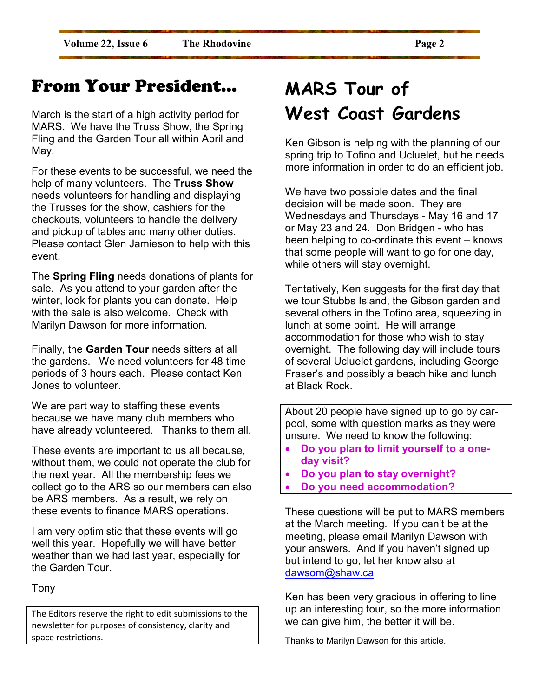### From Your President…

March is the start of a high activity period for MARS. We have the Truss Show, the Spring Fling and the Garden Tour all within April and May.

For these events to be successful, we need the help of many volunteers. The **Truss Show** needs volunteers for handling and displaying the Trusses for the show, cashiers for the checkouts, volunteers to handle the delivery and pickup of tables and many other duties. Please contact Glen Jamieson to help with this event.

The **Spring Fling** needs donations of plants for sale. As you attend to your garden after the winter, look for plants you can donate. Help with the sale is also welcome. Check with Marilyn Dawson for more information.

Finally, the **Garden Tour** needs sitters at all the gardens. We need volunteers for 48 time periods of 3 hours each. Please contact Ken Jones to volunteer.

We are part way to staffing these events because we have many club members who have already volunteered. Thanks to them all.

These events are important to us all because, without them, we could not operate the club for the next year. All the membership fees we collect go to the ARS so our members can also be ARS members. As a result, we rely on these events to finance MARS operations.

I am very optimistic that these events will go well this year. Hopefully we will have better weather than we had last year, especially for the Garden Tour.

Tony

The Editors reserve the right to edit submissions to the newsletter for purposes of consistency, clarity and space restrictions.

### **MARS Tour of West Coast Gardens**

Ken Gibson is helping with the planning of our spring trip to Tofino and Ucluelet, but he needs more information in order to do an efficient job.

We have two possible dates and the final decision will be made soon. They are Wednesdays and Thursdays - May 16 and 17 or May 23 and 24. Don Bridgen - who has been helping to co-ordinate this event – knows that some people will want to go for one day, while others will stay overnight.

Tentatively, Ken suggests for the first day that we tour Stubbs Island, the Gibson garden and several others in the Tofino area, squeezing in lunch at some point. He will arrange accommodation for those who wish to stay overnight. The following day will include tours of several Ucluelet gardens, including George Fraser's and possibly a beach hike and lunch at Black Rock.

About 20 people have signed up to go by carpool, some with question marks as they were unsure. We need to know the following:

- **Do you plan to limit yourself to a oneday visit?**
- **Do you plan to stay overnight?**
- **Do you need accommodation?**

These questions will be put to MARS members at the March meeting. If you can't be at the meeting, please email Marilyn Dawson with your answers. And if you haven't signed up but intend to go, let her know also at dawsom@shaw.ca

Ken has been very gracious in offering to line up an interesting tour, so the more information we can give him, the better it will be.

Thanks to Marilyn Dawson for this article.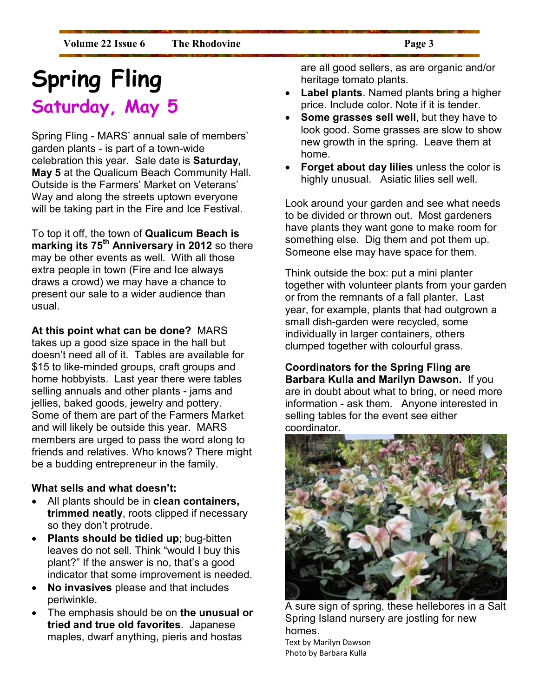## **Spring Fling Saturday, May 5**

Spring Fling - MARS' annual sale of members' garden plants - is part of a town-wide celebration this year. Sale date is **Saturday, May 5** at the Qualicum Beach Community Hall. Outside is the Farmers' Market on Veterans' Way and along the streets uptown everyone will be taking part in the Fire and Ice Festival.

To top it off, the town of **Qualicum Beach is marking its 75th Anniversary in 2012** so there may be other events as well. With all those extra people in town (Fire and Ice always draws a crowd) we may have a chance to present our sale to a wider audience than usual.

#### **At this point what can be done?** MARS

takes up a good size space in the hall but doesn't need all of it. Tables are available for \$15 to like-minded groups, craft groups and home hobbyists. Last year there were tables selling annuals and other plants - jams and jellies, baked goods, jewelry and pottery. Some of them are part of the Farmers Market and will likely be outside this year. MARS members are urged to pass the word along to friends and relatives. Who knows? There might be a budding entrepreneur in the family.

#### **What sells and what doesn't:**

- All plants should be in **clean containers, trimmed neatly**, roots clipped if necessary so they don't protrude.
- **Plants should be tidied up**; bug-bitten leaves do not sell. Think "would I buy this plant?" If the answer is no, that's a good indicator that some improvement is needed.
- **No invasives** please and that includes periwinkle.
- The emphasis should be on **the unusual or tried and true old favorites**. Japanese maples, dwarf anything, pieris and hostas

are all good sellers, as are organic and/or heritage tomato plants.

- **Label plants**. Named plants bring a higher price. Include color. Note if it is tender.
- **Some grasses sell well**, but they have to look good. Some grasses are slow to show new growth in the spring. Leave them at home.
- **Forget about day lilies** unless the color is highly unusual. Asiatic lilies sell well.

Look around your garden and see what needs to be divided or thrown out. Most gardeners have plants they want gone to make room for something else. Dig them and pot them up. Someone else may have space for them.

Think outside the box: put a mini planter together with volunteer plants from your garden or from the remnants of a fall planter. Last year, for example, plants that had outgrown a small dish-garden were recycled, some individually in larger containers, others clumped together with colourful grass.

**Coordinators for the Spring Fling are Barbara Kulla and Marilyn Dawson.** If you are in doubt about what to bring, or need more information - ask them. Anyone interested in selling tables for the event see either coordinator.



A sure sign of spring, these hellebores in a Salt Spring Island nursery are jostling for new homes. Text by Marilyn Dawson

Photo by Barbara Kulla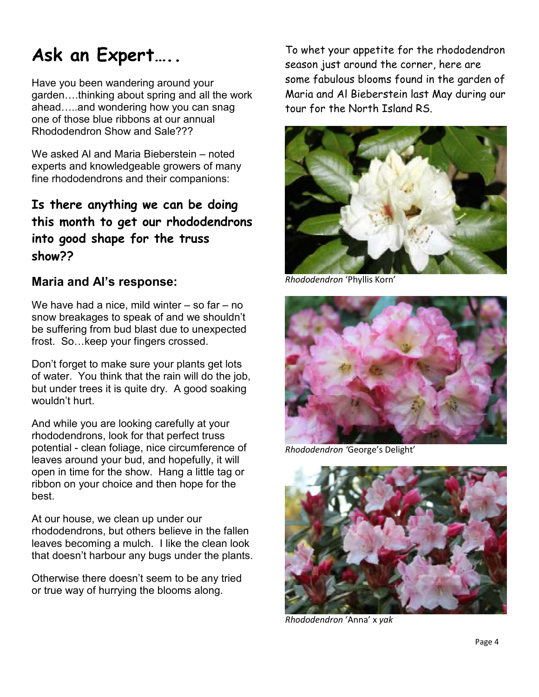### **Ask an Expert…..**

Have you been wandering around your garden....thinking about spring and all the work ahead.....and wondering how you can snag one of those blue ribbons at our annual Rhododendron Show and Sale???

We asked Al and Maria Bieberstein – noted experts and knowledgeable growers of many fine rhododendrons and their companions:

**Is there anything we can be doing this month to get our rhododendrons into good shape for the truss show??** 

#### **Maria and Al's response:**

We have had a nice, mild winter  $-$  so far  $-$  no snow breakages to speak of and we shouldn't be suffering from bud blast due to unexpected frost. So... keep your fingers crossed.

Don't forget to make sure your plants get lots of water. You think that the rain will do the job, but under trees it is quite dry. A good soaking wouldn't hurt.

And while you are looking carefully at your rhododendrons, look for that perfect truss potential - clean foliage, nice circumference of leaves around your bud, and hopefully, it will open in time for the show. Hang a little tag or ribbon on your choice and then hope for the best.

At our house, we clean up under our rhododendrons, but others believe in the fallen leaves becoming a mulch. I like the clean look that doesn't harbour any bugs under the plants.

Otherwise there doesn't seem to be any tried or true way of hurrying the blooms along.

To whet your appetite for the rhododendron season just around the corner, here are some fabulous blooms found in the garden of Maria and Al Bieberstein last May during our tour for the North Island RS.



*Rhododendron* 'Phyllis Korn'



*Rhododendron '*George's Delight'



*Rhododendron* 'Anna' x *yak*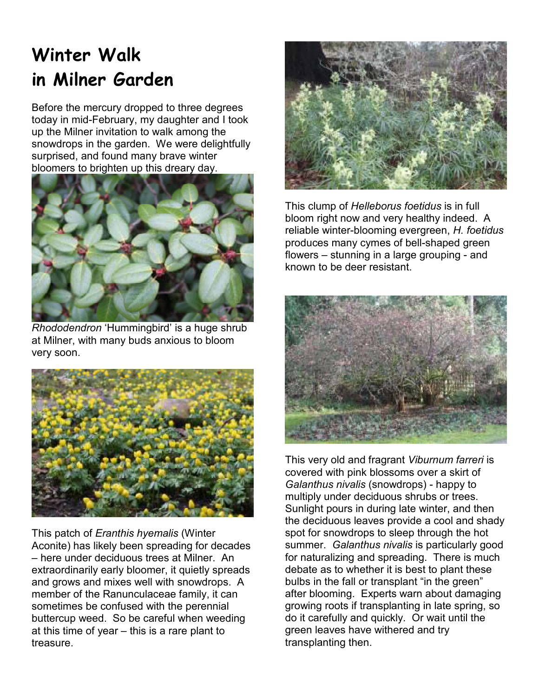### **Winter Walk in Milner Garden**

Before the mercury dropped to three degrees today in mid-February, my daughter and I took up the Milner invitation to walk among the snowdrops in the garden. We were delightfully surprised, and found many brave winter bloomers to brighten up this dreary day.



*Rhododendron* 'Hummingbird' is a huge shrub at Milner, with many buds anxious to bloom very soon.



This patch of *Eranthis hyemalis* (Winter Aconite) has likely been spreading for decades – here under deciduous trees at Milner. An extraordinarily early bloomer, it quietly spreads and grows and mixes well with snowdrops. A member of the Ranunculaceae family, it can sometimes be confused with the perennial buttercup weed. So be careful when weeding at this time of year – this is a rare plant to treasure.



This clump of *Helleborus foetidus* is in full bloom right now and very healthy indeed. A reliable winter-blooming evergreen, *H. foetidus* produces many cymes of bell-shaped green flowers – stunning in a large grouping - and known to be deer resistant.



This very old and fragrant *Viburnum farreri* is covered with pink blossoms over a skirt of *Galanthus nivalis* (snowdrops) - happy to multiply under deciduous shrubs or trees. Sunlight pours in during late winter, and then the deciduous leaves provide a cool and shady spot for snowdrops to sleep through the hot summer. *Galanthus nivalis* is particularly good for naturalizing and spreading. There is much debate as to whether it is best to plant these bulbs in the fall or transplant "in the green" after blooming. Experts warn about damaging growing roots if transplanting in late spring, so do it carefully and quickly. Or wait until the green leaves have withered and try transplanting then.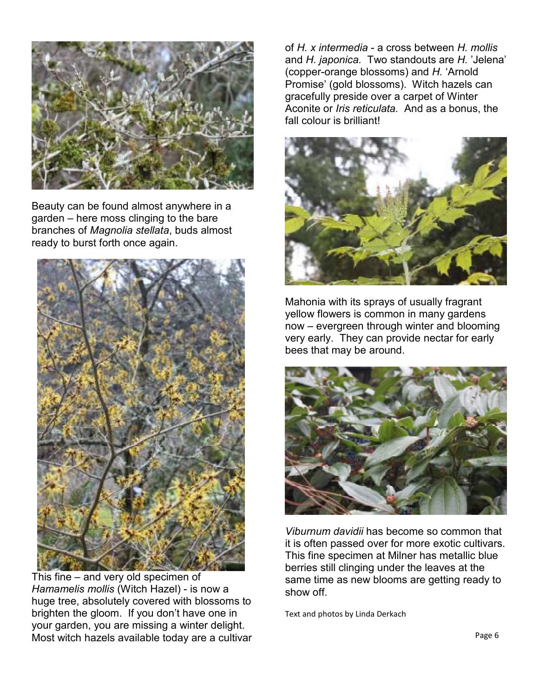

Beauty can be found almost anywhere in a garden – here moss clinging to the bare branches of *Magnolia stellata*, buds almost ready to burst forth once again.



This fine – and very old specimen of *Hamamelis mollis* (Witch Hazel) - is now a huge tree, absolutely covered with blossoms to brighten the gloom. If you don't have one in your garden, you are missing a winter delight. Most witch hazels available today are a cultivar

of *H. x intermedia* - a cross between *H. mollis* and *H. japonica.* Two standouts are *H.* 'Jelena' (copper-orange blossoms) and *H.* 'Arnold Promise' (gold blossoms). Witch hazels can gracefully preside over a carpet of Winter Aconite or *Iris reticulata.* And as a bonus, the fall colour is brilliant!



Mahonia with its sprays of usually fragrant yellow flowers is common in many gardens now – evergreen through winter and blooming very early. They can provide nectar for early bees that may be around.



*Viburnum davidii* has become so common that it is often passed over for more exotic cultivars. This fine specimen at Milner has metallic blue berries still clinging under the leaves at the same time as new blooms are getting ready to show off.

Text and photos by Linda Derkach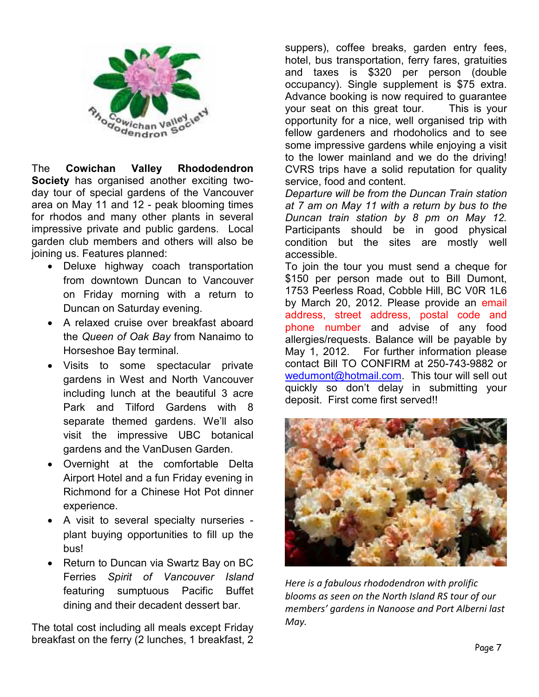

The **Cowichan Valley Rhododendron Society** has organised another exciting twoday tour of special gardens of the Vancouver area on May 11 and 12 - peak blooming times for rhodos and many other plants in several impressive private and public gardens. Local garden club members and others will also be joining us. Features planned:

- Deluxe highway coach transportation from downtown Duncan to Vancouver on Friday morning with a return to Duncan on Saturday evening.
- A relaxed cruise over breakfast aboard the *Queen of Oak Bay* from Nanaimo to Horseshoe Bay terminal.
- Visits to some spectacular private gardens in West and North Vancouver including lunch at the beautiful 3 acre Park and Tilford Gardens with 8 separate themed gardens. We'll also visit the impressive UBC botanical gardens and the VanDusen Garden.
- Overnight at the comfortable Delta Airport Hotel and a fun Friday evening in Richmond for a Chinese Hot Pot dinner experience.
- A visit to several specialty nurseries plant buying opportunities to fill up the bus!
- Return to Duncan via Swartz Bay on BC Ferries *Spirit of Vancouver Island* featuring sumptuous Pacific Buffet dining and their decadent dessert bar.

The total cost including all meals except Friday breakfast on the ferry (2 lunches, 1 breakfast, 2

suppers), coffee breaks, garden entry fees, hotel, bus transportation, ferry fares, gratuities and taxes is \$320 per person (double occupancy). Single supplement is \$75 extra. Advance booking is now required to guarantee your seat on this great tour. This is your opportunity for a nice, well organised trip with fellow gardeners and rhodoholics and to see some impressive gardens while enjoying a visit to the lower mainland and we do the driving! CVRS trips have a solid reputation for quality service, food and content.

*Departure will be from the Duncan Train station at 7 am on May 11 with a return by bus to the Duncan train station by 8 pm on May 12.*  Participants should be in good physical condition but the sites are mostly well accessible.

To join the tour you must send a cheque for \$150 per person made out to Bill Dumont, 1753 Peerless Road, Cobble Hill, BC V0R 1L6 by March 20, 2012. Please provide an email address, street address, postal code and phone number and advise of any food allergies/requests. Balance will be payable by May 1, 2012. For further information please contact Bill TO CONFIRM at 250-743-9882 or wedumont@hotmail.com. This tour will sell out quickly so don't delay in submitting your deposit. First come first served!!



*Here is a fabulous rhododendron with prolific blooms as seen on the North Island RS tour of our members' gardens in Nanoose and Port Alberni last May.*